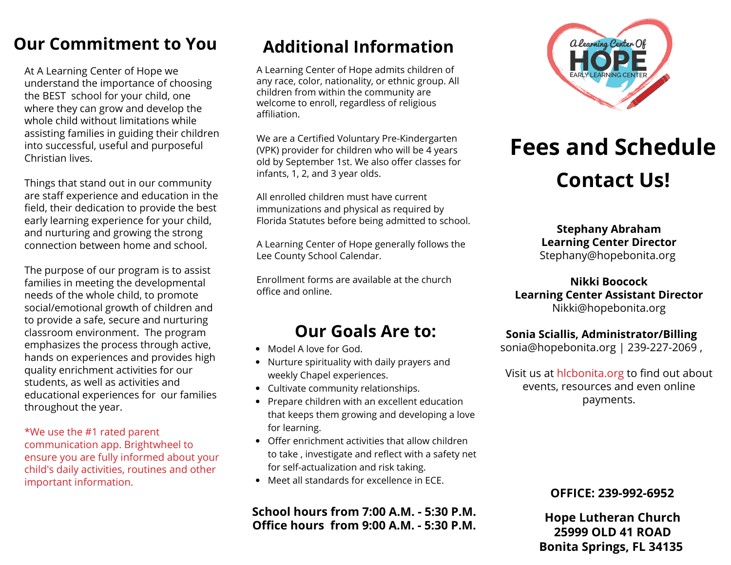### **Our Commitment to You**

At A Learning Center of Hope we understand the importance of choosing the BEST school for your child, one where they can grow and develop the whole child without limitations while assisting families in guiding their children into successful, useful and purposeful Christian lives.

Things that stand out in our community are staff experience and education in the field, their dedication to provide the best early learning experience for your child, and nurturing and growing the strong connection between home and school.

The purpose of our program is to assist families in meeting the developmental needs of the whole child, to promote social/emotional growth of children and to provide a safe, secure and nurturing classroom environment. The program emphasizes the process through active, hands on experiences and provides high quality enrichment activities for our students, as well as activities and educational experiences for our families throughout the year.

\*We use the #1 rated parent communication app. Brightwheel to ensure you are fully informed about your child's daily activities, routines and other important information.

## **Additional Information**

A Learning Center of Hope admits children of any race, color, nationality, or ethnic group. All children from within the community are welcome to enroll, regardless of religious affiliation.

We are a Certified Voluntary Pre-Kindergarten (VPK) provider for children who will be 4 years old by September 1st. We also offer classes for infants, 1, 2, and 3 year olds.

All enrolled children must have current immunizations and physical as required by Florida Statutes before being admitted to school.

A Learning Center of Hope generally follows the Lee County School Calendar.

Enrollment forms are available at the church office and online.

### **Our Goals Are to:**

- Model A love for God.
- Nurture spirituality with daily prayers and weekly Chapel experiences.
- Cultivate community relationships.
- Prepare children with an excellent education that keeps them growing and developing a love for learning.
- Offer enrichment activities that allow children to take , investigate and reflect with a safety net for self-actualization and risk taking.
- Meet all standards for excellence in ECE.

#### **School hours from 7:00 A.M. - 5:30 P.M. Office hours from 9:00 A.M. - 5:30 P.M.**



# **Fees and Schedule Contact Us!**

**Stephany Abraham Learning Center Director** Stephany@hopebonita.org

**Nikki Boocock Learning Center Assistant Director** Nikki@hopebonita.org

#### **Sonia Sciallis, Administrator/Billing**

sonia@hopebonita.org | 239-227-2069 ,

Visit us at hlcbonita.org to find out about events, resources and even online payments.

#### **OFFICE: 239-992-6952**

**Hope Lutheran Church 25999 OLD 41 ROAD Bonita Springs, FL 34135**